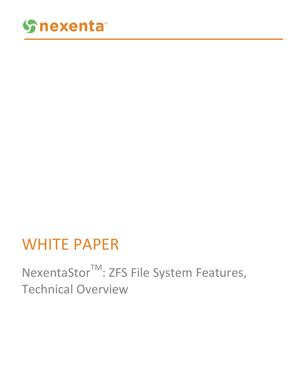

## WHITE PAPER

NexentaStor<sup>™</sup>: ZFS File System Features, Technical Overview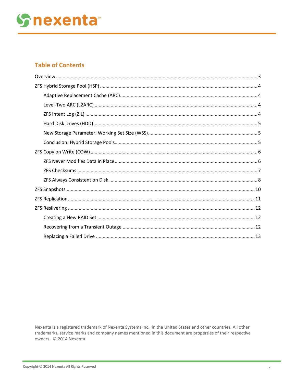## **Snexenta**

## **Table of Contents**

Nexenta is a registered trademark of Nexenta Systems Inc., in the United States and other countries. All other trademarks, service marks and company names mentioned in this document are properties of their respective owners. © 2014 Nexenta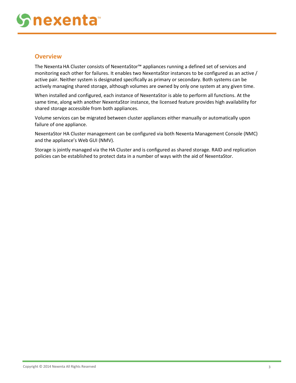# **nexenta**

## <span id="page-2-0"></span>**Overview**

The Nexenta HA Cluster consists of NexentaStor™ appliances running a defined set of services and monitoring each other for failures. It enables two NexentaStor instances to be configured as an active / active pair. Neither system is designated specifically as primary or secondary. Both systems can be actively managing shared storage, although volumes are owned by only one system at any given time.

When installed and configured, each instance of NexentaStor is able to perform all functions. At the same time, along with another NexentaStor instance, the licensed feature provides high availability for shared storage accessible from both appliances.

Volume services can be migrated between cluster appliances either manually or automatically upon failure of one appliance.

NexentaStor HA Cluster management can be configured via both Nexenta Management Console (NMC) and the appliance's Web GUI (NMV).

Storage is jointly managed via the HA Cluster and is configured as shared storage. RAID and replication policies can be established to protect data in a number of ways with the aid of NexentaStor.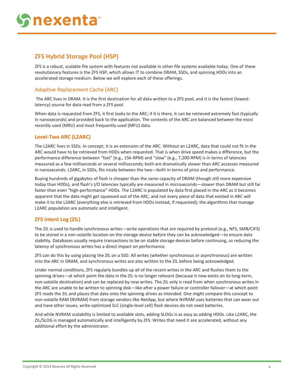## <span id="page-3-0"></span>**ZFS Hybrid Storage Pool (HSP)**

ZFS is a robust, scalable file system with features not available in other file systems available today. One of these revolutionary features is the ZFS HSP, which allows IT to combine DRAM, SSDs, and spinning HDDs into an accelerated storage medium. Below we will explore each of these offerings.

### <span id="page-3-1"></span>Adaptive Replacement Cache (ARC)

The ARC lives in DRAM. It is the first destination for all data written to a ZFS pool, and it is the fastest (lowestlatency) source for data read from a ZFS pool.

When data is requested from ZFS, it first looks to the ARC; if it is there, it can be retrieved extremely fast (typically in nanoseconds) and provided back to the application. The contents of the ARC are balanced between the most recently used (MRU) and most frequently used (MFU) data.

### <span id="page-3-2"></span>**Level-Two ARC (L2ARC)**

The L2ARC lives in SSDs. In concept, it is an extension of the ARC. Without an L2ARC, data that could not fit in the ARC would have to be retrieved from HDDs when requested. That is when drive speed makes a difference, but the performance difference between "fast" (e.g., 15k-RPM) and "slow" (e.g., 7,200-RPM) is in terms of latencies measured as a few milliseconds or several milliseconds; both are dramatically slower than ARC accesses measured in nanoseconds. L2ARC, in SSDs, fits nicely between the two—both in terms of price and performance.

Buying hundreds of gigabytes of flash is cheaper than the same capacity of DRAM (though still more expensive today than HDDs), and flash's I/O latencies typically are measured in microseconds—slower than DRAM but still far faster than even "high-performance" HDDs. The L2ARC is populated by data first placed in the ARC as it becomes apparent that the data might get squeezed out of the ARC, and not every piece of data that existed in ARC will make it to the L2ARC (everything else is retrieved from HDDs instead, if requested); the algorithms that manage L2ARC population are automatic and intelligent.

### <span id="page-3-3"></span>**ZFS Intent Log (ZIL)**

The ZIL is used to handle synchronous writes—write operations that are required by protocol (e.g., NFS, SMB/CIFS) to be stored in a non-volatile location on the storage device before they can be acknowledged—to ensure data stability. Databases usually require transactions to be on stable storage devices before continuing, so reducing the latency of synchronous writes has a direct impact on performance.

ZFS can do this by using placing the ZIL on a SSD. All writes (whether synchronous or asynchronous) are written into the ARC in DRAM, and synchronous writes are also written to the ZIL before being acknowledged.

Under normal conditions, ZFS regularly bundles up all of the recent writes in the ARC and flushes them to the spinning drives—at which point the data in the ZIL is no longer relevant (because it now exists on its long-term, non-volatile destination) and can be replaced by new writes. The ZIL only is read from when synchronous writes in the ARC are unable to be written to spinning disk—like after a power failure or controller failover—at which point ZFS reads the ZIL and places that data onto the spinning drives as intended. One might compare this concept to non-volatile RAM (NVRAM) from storage vendors like NetApp, but where NVRAM uses batteries that can wear out and have other issues, write-optimized SLC (single-level cell) flash devices do not need batteries.

And while NVRAM scalability is limited to available slots, adding SLOGs is as easy as adding HDDs. Like L2ARC, the ZIL/SLOG is managed automatically and intelligently by ZFS: Writes that need it are accelerated, without any additional effort by the administrator.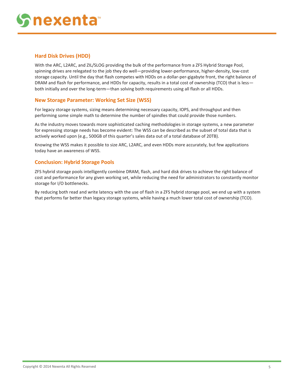# **nexenta**

#### <span id="page-4-0"></span>**Hard Disk Drives (HDD)**

With the ARC, L2ARC, and ZIL/SLOG providing the bulk of the performance from a ZFS Hybrid Storage Pool, spinning drives are relegated to the job they do well—providing lower-performance, higher-density, low-cost storage capacity. Until the day that flash competes with HDDs on a dollar-per-gigabyte front, the right balance of DRAM and flash for performance, and HDDs for capacity, results in a total cost of ownership (TCO) that is less both initially and over the long-term—than solving both requirements using all flash or all HDDs.

#### <span id="page-4-1"></span>**New Storage Parameter: Working Set Size (WSS)**

For legacy storage systems, sizing means determining necessary capacity, IOPS, and throughput and then performing some simple math to determine the number of spindles that could provide those numbers.

As the industry moves towards more sophisticated caching methodologies in storage systems, a new parameter for expressing storage needs has become evident: The WSS can be described as the subset of total data that is actively worked upon (e.g., 500GB of this quarter's sales data out of a total database of 20TB).

Knowing the WSS makes it possible to size ARC, L2ARC, and even HDDs more accurately, but few applications today have an awareness of WSS.

#### <span id="page-4-2"></span>**Conclusion: Hybrid Storage Pools**

ZFS hybrid storage pools intelligently combine DRAM, flash, and hard disk drives to achieve the right balance of cost and performance for any given working set, while reducing the need for administrators to constantly monitor storage for I/O bottlenecks.

By reducing both read and write latency with the use of flash in a ZFS hybrid storage pool, we end up with a system that performs far better than legacy storage systems, while having a much lower total cost of ownership (TCO).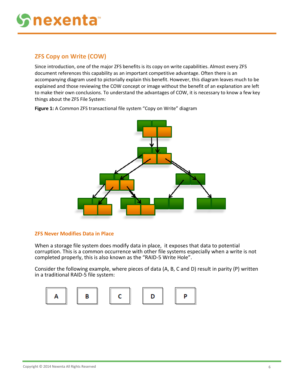## <span id="page-5-0"></span>**ZFS Copy on Write (COW)**

Since introduction, one of the major ZFS benefits is its copy on write capabilities. Almost every ZFS document references this capability as an important competitive advantage. Often there is an accompanying diagram used to pictorially explain this benefit. However, this diagram leaves much to be explained and those reviewing the COW concept or image without the benefit of an explanation are left to make their own conclusions. To understand the advantages of COW, it is necessary to know a few key things about the ZFS File System:

**Figure 1:** A Common ZFS transactional file system "Copy on Write" diagram



#### <span id="page-5-1"></span>**ZFS Never Modifies Data in Place**

When a storage file system does modify data in place, it exposes that data to potential corruption. This is a common occurrence with other file systems especially when a write is not completed properly, this is also known as the "RAID-5 Write Hole".

Consider the following example, where pieces of data (A, B, C and D) result in parity (P) written in a traditional RAID-5 file system:

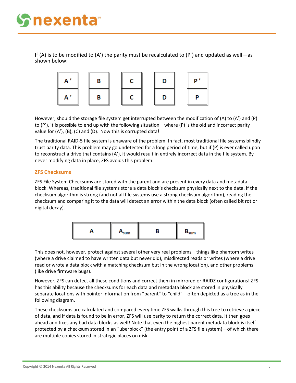If (A) is to be modified to (A') the parity must be recalculated to (P') and updated as well—as shown below:



However, should the storage file system get interrupted between the modification of (A) to (A') and (P) to (P'), it is possible to end up with the following situation—where (P) is the old and incorrect parity value for (A'), (B), (C) and (D). Now this is corrupted data!

The traditional RAID-5 file system is unaware of the problem. In fact, most traditional file systems blindly trust parity data. This problem may go undetected for a long period of time, but if (P) is ever called upon to reconstruct a drive that contains (A'), it would result in entirely incorrect data in the file system. By never modifying data in place, ZFS avoids this problem.

#### <span id="page-6-0"></span>**ZFS Checksums**

ZFS File System Checksums are stored with the parent and are present in every data and metadata block. Whereas, traditional file systems store a data block's checksum physically next to the data. If the checksum algorithm is strong (and not all file systems use a strong checksum algorithm), reading the checksum and comparing it to the data will detect an error within the data block (often called bit rot or digital decay).



This does not, however, protect against several other very real problems—things like phantom writes (where a drive claimed to have written data but never did), misdirected reads or writes (where a drive read or wrote a data block with a matching checksum but in the wrong location), and other problems (like drive firmware bugs).

However, ZFS can detect all these conditions and correct them in mirrored or RAIDZ configurations! ZFS has this ability because the checksums for each data and metadata block are stored in physically separate locations with pointer information from "parent" to "child"—often depicted as a tree as in the following diagram.

These checksums are calculated and compared every time ZFS walks through this tree to retrieve a piece of data, and if data is found to be in error, ZFS will use parity to return the correct data. It then goes ahead and fixes any bad data blocks as well! Note that even the highest parent metadata block is itself protected by a checksum stored in an "uberblock" (the entry point of a ZFS file system)—of which there are multiple copies stored in strategic places on disk.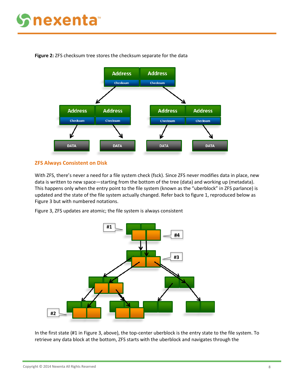## **nexenta**



**Figure 2:** ZFS checksum tree stores the checksum separate for the data

#### <span id="page-7-0"></span>**ZFS Always Consistent on Disk**

With ZFS, there's never a need for a file system check (fsck). Since ZFS never modifies data in place, new data is written to new space—starting from the bottom of the tree (data) and working up (metadata). This happens only when the entry point to the file system (known as the "uberblock" in ZFS parlance) is updated and the state of the file system actually changed. Refer back to figure 1, reproduced below as Figure 3 but with numbered notations.

Figure 3, ZFS updates are atomic; the file system is always consistent



In the first state (#1 in Figure 3, above), the top-center uberblock is the entry state to the file system. To retrieve any data block at the bottom, ZFS starts with the uberblock and navigates through the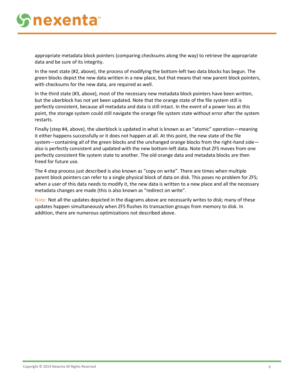appropriate metadata block pointers (comparing checksums along the way) to retrieve the appropriate data and be sure of its integrity.

In the next state (#2, above), the process of modifying the bottom-left two data blocks has begun. The green blocks depict the new data written in a new place, but that means that new parent block pointers, with checksums for the new data, are required as well.

In the third state (#3, above), most of the necessary new metadata block pointers have been written, but the uberblock has not yet been updated. Note that the orange state of the file system still is perfectly consistent, because all metadata and data is still intact. In the event of a power loss at this point, the storage system could still navigate the orange file system state without error after the system restarts.

Finally (step #4, above), the uberblock is updated in what is known as an "atomic" operation—meaning it either happens successfully or it does not happen at all. At this point, the new state of the file system—containing all of the green blocks and the unchanged orange blocks from the right-hand side also is perfectly consistent and updated with the new bottom-left data. Note that ZFS moves from one perfectly consistent file system state to another. The old orange data and metadata blocks are then freed for future use.

The 4 step process just described is also known as "copy on write". There are times when multiple parent block pointers can refer to a single physical block of data on disk. This poses no problem for ZFS; when a user of this data needs to modify it, the new data is written to a new place and all the necessary metadata changes are made (this is also known as "redirect on write".

Note: Not all the updates depicted in the diagrams above are necessarily writes to disk; many of these updates happen simultaneously when ZFS flushes its transaction groups from memory to disk. In addition, there are numerous optimizations not described above.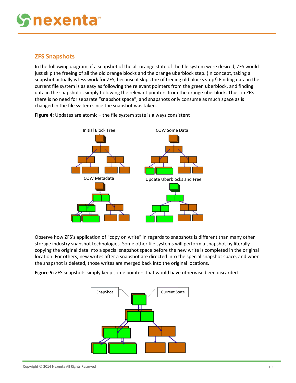## <span id="page-9-0"></span>**ZFS Snapshots**

In the following diagram, if a snapshot of the all-orange state of the file system were desired, ZFS would just skip the freeing of all the old orange blocks and the orange uberblock step. (In concept, taking a snapshot actually is less work for ZFS, because it skips the of freeing old blocks step!) Finding data in the current file system is as easy as following the relevant pointers from the green uberblock, and finding data in the snapshot is simply following the relevant pointers from the orange uberblock. Thus, in ZFS there is no need for separate "snapshot space", and snapshots only consume as much space as is changed in the file system since the snapshot was taken.



**Figure 4:** Updates are atomic – the file system state is always consistent

Observe how ZFS's application of "copy on write" in regards to snapshots is different than many other storage industry snapshot technologies. Some other file systems will perform a snapshot by literally copying the original data into a special snapshot space before the new write is completed in the original location. For others, new writes after a snapshot are directed into the special snapshot space, and when the snapshot is deleted, those writes are merged back into the original locations.

**Figure 5:** ZFS snapshots simply keep some pointers that would have otherwise been discarded

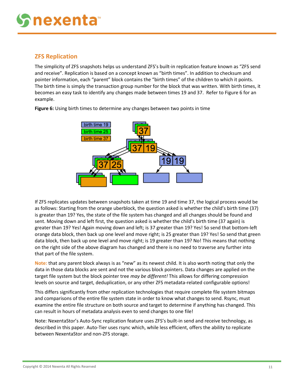## <span id="page-10-0"></span>**ZFS Replication**

The simplicity of ZFS snapshots helps us understand ZFS's built-in replication feature known as "ZFS send and receive". Replication is based on a concept known as "birth times". In addition to checksum and pointer information, each "parent" block contains the "birth times" of the children to which it points. The birth time is simply the transaction group number for the block that was written. With birth times, it becomes an easy task to identify any changes made between times 19 and 37. Refer to Figure 6 for an example.



**Figure 6:** Using birth times to determine any changes between two points in time

If ZFS replicates updates between snapshots taken at time 19 and time 37, the logical process would be as follows: Starting from the orange uberblock, the question asked is whether the child's birth time (37) is greater than 19? Yes, the state of the file system has changed and all changes should be found and sent. Moving down and left first, the question asked is whether the child's birth time (37 again) is greater than 19? Yes! Again moving down and left; is 37 greater than 19? Yes! So send that bottom-left orange data block, then back up one level and move right; is 25 greater than 19? Yes! So send that green data block, then back up one level and move right; is 19 greater than 19? No! This means that nothing on the right side of the above diagram has changed and there is no need to traverse any further into that part of the file system.

**Note:** that any parent block always is as "new" as its newest child. It is also worth noting that only the data in those data blocks are sent and not the various block pointers. Data changes are applied on the target file system but the block pointer tree *may be different!* This allows for differing compression levels on source and target, deduplication, or any other ZFS metadata-related configurable options!

This differs significantly from other replication technologies that require complete file system bitmaps and comparisons of the entire file system state in order to know what changes to send. Rsync, must examine the entire file structure on both source and target to determine if anything has changed. This can result in hours of metadata analysis even to send changes to one file!

Note: NexentaStor's Auto-Sync replication feature uses ZFS's built-in send and receive technology, as described in this paper. Auto-Tier uses rsync which, while less efficient, offers the ability to replicate between NexentaStor and non-ZFS storage.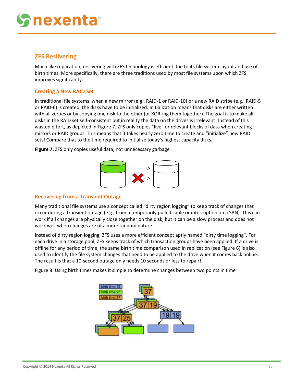## <span id="page-11-0"></span>**ZFS Resilvering**

Much like replication, resilvering with ZFS technology is efficient due to its file system layout and use of birth times. More specifically, there are three traditions used by most file systems upon which ZFS improves significantly:

#### <span id="page-11-1"></span>**Creating a New RAID Set**

In traditional file systems, when a new mirror (e.g., RAID-1 or RAID-10) or a new RAID stripe (e.g., RAID-5 or RAID-6) is created, the disks have to be initialized. Initialization means that disks are either written with all zeroes or by copying one disk to the other (or XOR-ing them together). The goal is to make all disks in the RAID set self-consistent but in reality the data on the drives is irrelevant! Instead of this wasted effort, as depicted in Figure 7; ZFS only copies "live" or relevant blocks of data when creating mirrors or RAID groups. This means that it takes nearly zero time to create and "initialize" new RAID sets! Compare that to the time required to initialize today's highest capacity disks.

**Figure 7:** ZFS only copies useful data, not unnecessary garbage



### <span id="page-11-2"></span>**Recovering from a Transient Outage**

Many traditional file systems use a concept called "dirty region logging" to keep track of changes that occur during a transient outage (e.g., from a temporarily pulled cable or interruption on a SAN). This can work if all changes are physically close together on the disk, but it can be a slow process and does not work well when changes are of a more random nature.

Instead of dirty region logging, ZFS uses a more efficient concept aptly named "dirty time logging". For each drive in a storage pool, ZFS keeps track of which transaction groups have been applied. If a drive is offline for any period of time, the same birth time comparison used in replication (see Figure 6) is also used to identify the file system changes that need to be applied to the drive when it comes back online. The result is that a 10-second outage only needs 10 seconds or less to repair!

Figure 8: Using birth times makes it simple to determine changes between two points in time